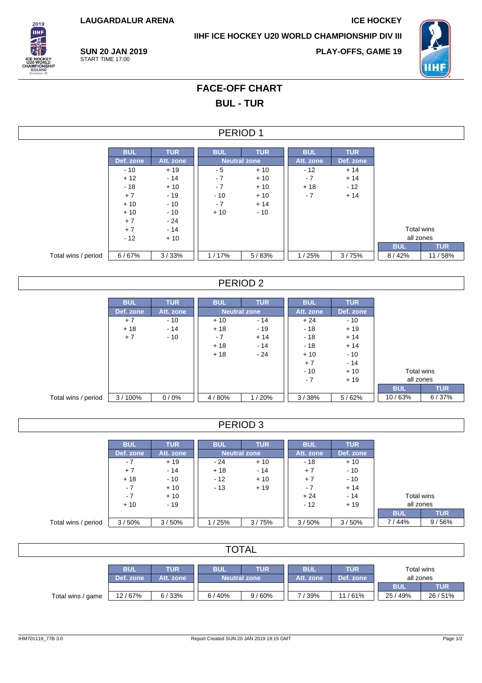**LAUGARDALUR ARENA ICE HOCKEY**

**IIHF ICE HOCKEY U20 WORLD CHAMPIONSHIP DIV III**



**SUN 20 JAN 2019** START TIME 17:00

**PLAY-OFFS, GAME 19**



## **FACE-OFF CHART BUL - TUR**

#### PERIOD 1

|                     | <b>BUL</b> | <b>TUR</b> | <b>BUL</b> | <b>TUR</b>          | <b>BUL</b> | <b>TUR</b> |  |
|---------------------|------------|------------|------------|---------------------|------------|------------|--|
|                     | Def. zone  | Att. zone  |            | <b>Neutral zone</b> | Att. zone  | Def. zone  |  |
|                     | $-10$      | $+19$      | - 5        | $+10$               | $-12$      | $+14$      |  |
|                     | $+12$      | $-14$      | $-7$       | $+10$               | $-7$       | $+14$      |  |
|                     | $-18$      | $+10$      | $-7$       | $+10$               | $+18$      | $-12$      |  |
|                     | $+7$       | $-19$      | $-10$      | $+10$               | $-7$       | $+14$      |  |
|                     | $+10$      | $-10$      | $-7$       | $+14$               |            |            |  |
|                     | $+10$      | $-10$      | $+10$      | $-10$               |            |            |  |
|                     | $+7$       | $-24$      |            |                     |            |            |  |
|                     | $+7$       | $-14$      |            |                     |            |            |  |
|                     | $-12$      | $+10$      |            |                     |            |            |  |
|                     |            |            |            |                     |            |            |  |
| Total wins / period | 6/67%      | 3/33%      | 1/17%      | 5/83%               | 1/25%      | 3/75%      |  |

### PERIOD 2

|                     | <b>BUL</b> | <b>TUR</b> | <b>BUL</b> | <b>TUR</b>          | <b>BUL</b> | <b>TUR</b> |            |            |
|---------------------|------------|------------|------------|---------------------|------------|------------|------------|------------|
|                     | Def. zone  | Att. zone  |            | <b>Neutral zone</b> | Att. zone  | Def. zone  |            |            |
|                     | $+7$       | $-10$      | $+10$      | $-14$               | $+24$      | $-10$      |            |            |
|                     | $+18$      | $-14$      | $+18$      | $-19$               | $-18$      | $+19$      |            |            |
|                     | $+7$       | $-10$      | $-7$       | $+14$               | $-18$      | $+14$      |            |            |
|                     |            |            | $+18$      | $-14$               | $-18$      | $+14$      |            |            |
|                     |            |            | $+18$      | $-24$               | $+10$      | $-10$      |            |            |
|                     |            |            |            |                     | $+7$       | $-14$      |            |            |
|                     |            |            |            |                     | $-10$      | $+10$      | Total wins |            |
|                     |            |            |            |                     | $-7$       | $+19$      | all zones  |            |
|                     |            |            |            |                     |            |            | <b>BUL</b> | <b>TUR</b> |
| Total wins / period | 3/100%     | 0/0%       | 4/80%      | 1/20%               | 3/38%      | 5/62%      | 10/63%     | 6/37%      |

### PERIOD 3

|                     | <b>BUL</b> | <b>TUR</b> | <b>BUL</b> | <b>TUR</b>          | <b>BUL</b> | <b>TUR</b> |            |            |
|---------------------|------------|------------|------------|---------------------|------------|------------|------------|------------|
|                     | Def. zone  | Att. zone  |            | <b>Neutral zone</b> | Att. zone  | Def. zone  |            |            |
|                     | $-7$       | $+19$      | $-24$      | $+10$               | $-18$      | $+10$      |            |            |
|                     | $+7$       | $-14$      | $+18$      | $-14$               | $+7$       | $-10$      |            |            |
|                     | $+18$      | $-10$      | $-12$      | $+10$               | $+7$       | $-10$      |            |            |
|                     | - 7        | $+10$      | $-13$      | $+19$               | - 7        | $+14$      |            |            |
|                     | - 7        | $+10$      |            |                     | $+24$      | $-14$      | Total wins |            |
|                     | $+10$      | $-19$      |            |                     | $-12$      | $+19$      | all zones  |            |
|                     |            |            |            |                     |            |            | <b>BUL</b> | <b>TUR</b> |
| Total wins / period | 3/50%      | 3/50%      | 1/25%      | 3/75%               | 3/50%      | 3/50%      | 7 / 44%    | 9/56%      |

| <b>TOTAL</b>      |            |            |            |                         |                         |                         |            |            |  |  |
|-------------------|------------|------------|------------|-------------------------|-------------------------|-------------------------|------------|------------|--|--|
|                   | <b>BUL</b> | <b>TUR</b> | <b>BUL</b> | <b>BUL</b><br>Att. zone | <b>TUR</b><br>Def. zone | Total wins<br>all zones |            |            |  |  |
|                   | Def. zone  | Att. zone  |            | Neutral zone            |                         |                         | <b>BUL</b> | <b>TUR</b> |  |  |
| Total wins / game | 12/67%     | 6/33%      | 6 / 40%    | 9/60%                   | 7 / 39%                 | 11/61%                  | 25/49%     | 26/51%     |  |  |